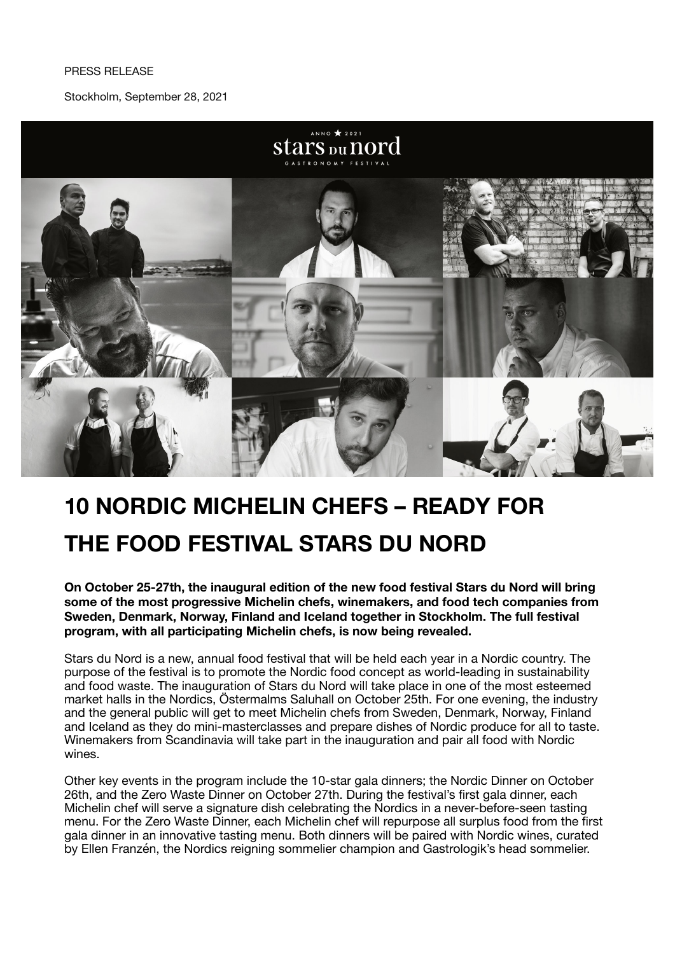## PRESS RELEASE

Stockholm, September 28, 2021



# **10 NORDIC MICHELIN CHEFS – READY FOR THE FOOD FESTIVAL STARS DU NORD**

**On October 25-27th, the inaugural edition of the new food festival Stars du Nord will bring some of the most progressive Michelin chefs, winemakers, and food tech companies from Sweden, Denmark, Norway, Finland and Iceland together in Stockholm. The full festival program, with all participating Michelin chefs, is now being revealed.** 

Stars du Nord is a new, annual food festival that will be held each year in a Nordic country. The purpose of the festival is to promote the Nordic food concept as world-leading in sustainability and food waste. The inauguration of Stars du Nord will take place in one of the most esteemed market halls in the Nordics, Östermalms Saluhall on October 25th. For one evening, the industry and the general public will get to meet Michelin chefs from Sweden, Denmark, Norway, Finland and Iceland as they do mini-masterclasses and prepare dishes of Nordic produce for all to taste. Winemakers from Scandinavia will take part in the inauguration and pair all food with Nordic wines.

Other key events in the program include the 10-star gala dinners; the Nordic Dinner on October 26th, and the Zero Waste Dinner on October 27th. During the festival's first gala dinner, each Michelin chef will serve a signature dish celebrating the Nordics in a never-before-seen tasting menu. For the Zero Waste Dinner, each Michelin chef will repurpose all surplus food from the first gala dinner in an innovative tasting menu. Both dinners will be paired with Nordic wines, curated by Ellen Franzén, the Nordics reigning sommelier champion and Gastrologik's head sommelier.